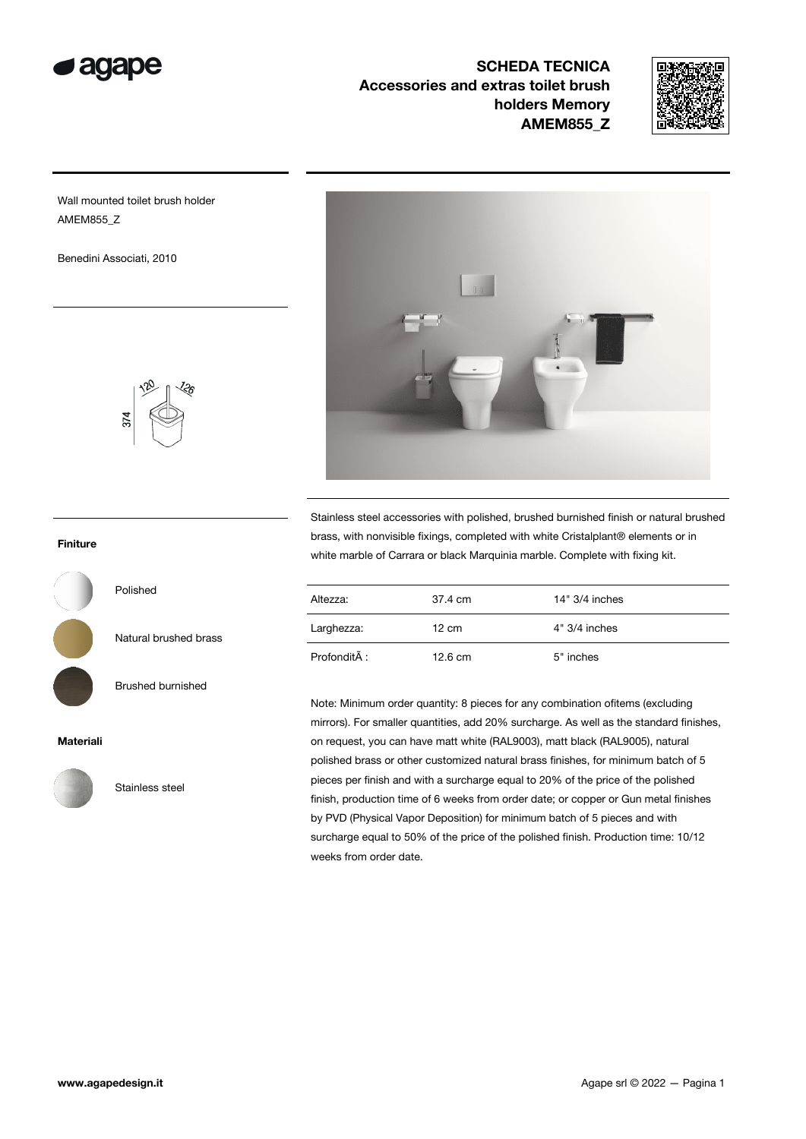

SCHEDA TECNICA Accessories and extras toilet brush holders Memory AMEM855\_Z



Wall mounted toilet brush holder AMEM855\_Z

Benedini Associati, 2010



Stainless steel accessories with polished, brushed burnished finish or natural brushed brass, with nonvisible fixings, completed with white Cristalplant® elements or in white marble of Carrara or black Marquinia marble. Complete with fixing kit.

| Altezza:     | 37.4 cm           | 14" 3/4 inches  |
|--------------|-------------------|-----------------|
| Larghezza:   | $12 \text{ cm}$   | $4" 3/4$ inches |
| Profondità : | $12.6 \text{ cm}$ | 5" inches       |

Note: Minimum order quantity: 8 pieces for any combination ofitems (excluding mirrors). For smaller quantities, add 20% surcharge. As well as the standard finishes, on request, you can have matt white (RAL9003), matt black (RAL9005), natural polished brass or other customized natural brass finishes, for minimum batch of 5 pieces per finish and with a surcharge equal to 20% of the price of the polished finish, production time of 6 weeks from order date; or copper or Gun metal finishes by PVD (Physical Vapor Deposition) for minimum batch of 5 pieces and with surcharge equal to 50% of the price of the polished finish. Production time: 10/12 weeks from order date.

## Finiture

Polished

Natural brushed brass

Brushed burnished

Stainless steel

## Materiali